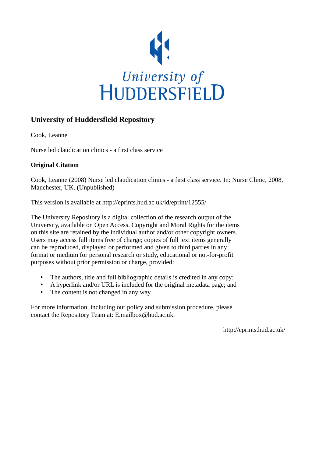

## **University of Huddersfield Repository**

Cook, Leanne

Nurse led claudication clinics - a first class service

### **Original Citation**

Cook, Leanne (2008) Nurse led claudication clinics - a first class service. In: Nurse Clinic, 2008, Manchester, UK. (Unpublished)

This version is available at http://eprints.hud.ac.uk/id/eprint/12555/

The University Repository is a digital collection of the research output of the University, available on Open Access. Copyright and Moral Rights for the items on this site are retained by the individual author and/or other copyright owners. Users may access full items free of charge; copies of full text items generally can be reproduced, displayed or performed and given to third parties in any format or medium for personal research or study, educational or not-for-profit purposes without prior permission or charge, provided:

- The authors, title and full bibliographic details is credited in any copy;
- A hyperlink and/or URL is included for the original metadata page; and
- The content is not changed in any way.

For more information, including our policy and submission procedure, please contact the Repository Team at: E.mailbox@hud.ac.uk.

http://eprints.hud.ac.uk/